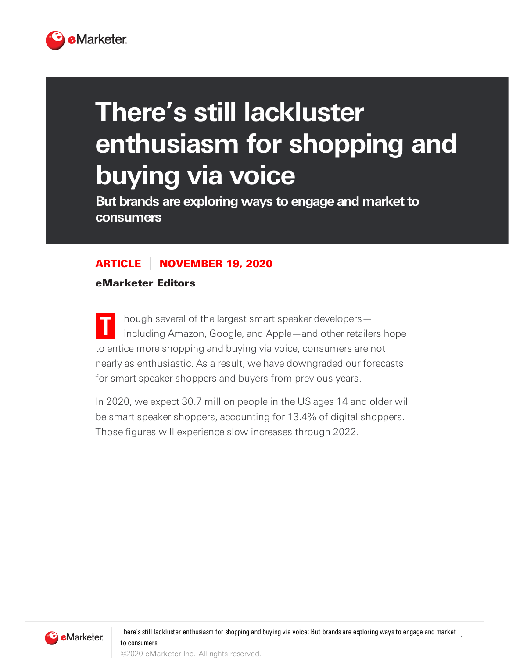

## **There's still lackluster enthusiasm for shopping and buying via voice**

**But** brands are exploring ways to engage and market to **consumers**

## ARTICLE NOVEMBER 19, 2020

eMarketer Editors

**T** hough several of the largest smart speaker developers including Amazon, Google, and Apple—and other retailers hope to entice more shopping and buying via voice, consumers are not nearly as enthusiastic. As a result, we have downgraded our forecasts for smart speaker shoppers and buyers from previous years.

In 2020, we expect 30.7 million people in the US ages 14 and older will be smart speaker shoppers, accounting for 13.4% of digital shoppers. Those figures will experience slow increases through 2022.



1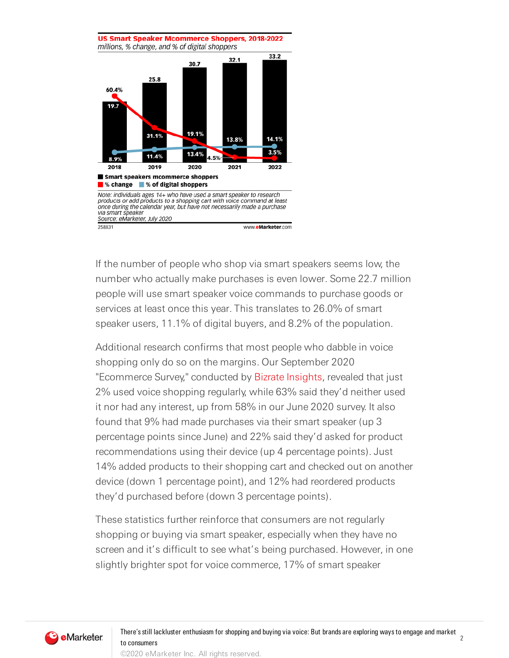US Smart Speaker Mcommerce Shoppers, 2018-2022 millions, % change, and % of digital shoppers 33.2  $32.1$ 30.7 25.8 60.4% 19.7 31.1% 19.1% 14.1% 13.8%  $3.5%$ 13.4% 11.4% 8.9% 2019 2020 2018 2021 2022 Smart speakers mcommerce shoppers ■% change ■% of digital shoppers Note: individuals ages 14+ who have used a smart speaker to research<br>products or add products to a shopping cart with voice command at least<br>once during the calendar year, but have not necessarily made a purchase via smart speaker Source: eMarketer, July 2020 258831 www.eMarketer.com

If the number of people who shop via smart speakers seems low, the number who actually make purchases is even lower. Some 22.7 million people will use smart speaker voice commands to purchase goods or services at least once this year. This translates to 26.0% of smart speaker users, 11.1% of digital buyers, and 8.2% of the population.

Additional research confirms that most people who dabble in voice shopping only do so on the margins. Our September 2020 "Ecommerce Survey," conducted by Bizrate [Insights,](https://bizrateinsights.com/) revealed that just 2% used voice shopping regularly, while 63% said they'd neither used it nor had any interest, up from 58% in our June 2020 survey. It also found that 9% had made purchases via their smart speaker (up 3 percentage points since June) and 22% said they'd asked for product recommendations using their device (up 4 percentage points). Just 14% added products to their shopping cart and checked out on another device (down 1 percentage point), and 12% had reordered products they'd purchased before (down 3 percentage points).

These statistics further reinforce that consumers are not regularly shopping or buying via smart speaker, especially when they have no screen and it's difficult to see what's being purchased. However, in one slightly brighter spot for voice commerce, 17% of smart speaker

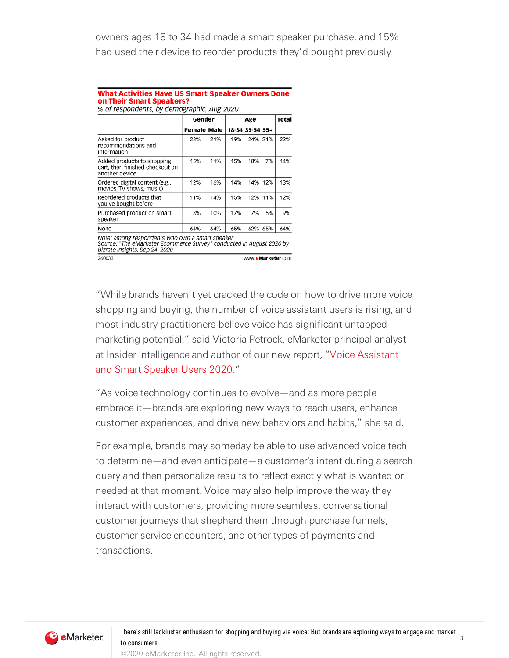owners ages 18 to 34 had made a smart speaker purchase, and 15% had used their device to reorder products they'd bought previously.

| <b>What Activities Have US Smart Speaker Owners Done</b> |  |
|----------------------------------------------------------|--|
| on Their Smart Speakers?                                 |  |
| % of respondents, by demographic, Aug 2020               |  |

|                                                                                                                                                           | Gender             |     | Age |                   |         | Total |  |
|-----------------------------------------------------------------------------------------------------------------------------------------------------------|--------------------|-----|-----|-------------------|---------|-------|--|
|                                                                                                                                                           | <b>Female Male</b> |     |     | 18-34 35-54 55+   |         |       |  |
| Asked for product<br>recommendations and<br>information                                                                                                   | 23%                | 21% | 19% |                   | 24% 21% | 22%   |  |
| Added products to shopping<br>cart, then finished checkout on<br>another device                                                                           | 15%                | 11% | 15% | 18%               | 7%      | 14%   |  |
| Ordered digital content (e.g.,<br>movies. TV shows, music)                                                                                                | 12%                | 16% | 14% |                   | 14% 12% | 13%   |  |
| Reordered products that<br>you've bought before                                                                                                           | 11%                | 14% | 15% |                   | 12% 11% | 12%   |  |
| Purchased product on smart<br>speaker                                                                                                                     | 8%                 | 10% | 17% | 7%                | 5%      | 9%    |  |
| None                                                                                                                                                      | 64%                | 64% | 65% |                   | 62% 65% | 64%   |  |
| Note: among respondents who own a smart speaker<br>Source: "The eMarketer Ecommerce Survey" conducted in August 2020 by<br>Bizrate Insights, Sep 24, 2020 |                    |     |     |                   |         |       |  |
| 260033                                                                                                                                                    |                    |     |     | www.eMarketer.com |         |       |  |

"While brands haven't yet cracked the code on how to drive more voice shopping and buying, the number of voice assistant users is rising, and most industry practitioners believe voice has significant untapped marketing potential," said Victoria Petrock, eMarketer principal analyst at Insider Intelligence and author of our new report, "Voice Assistant and Smart Speaker Users 2020."

"As voice technology continues to evolve—and as more people embrace it—brands are exploring new ways to reach users, enhance customer experiences, and drive new behaviors and habits," she said.

For example, brands may someday be able to use advanced voice tech to determine—and even anticipate—a customer's intent during a search query and then personalize results to reflect exactly what is wanted or needed at that moment. Voice may also help improve the way they interact with customers, providing more seamless, conversational customer journeys that shepherd them through purchase funnels, customer service encounters, and other types of payments and transactions.



©2020 eMarketer Inc. All rights reserved.